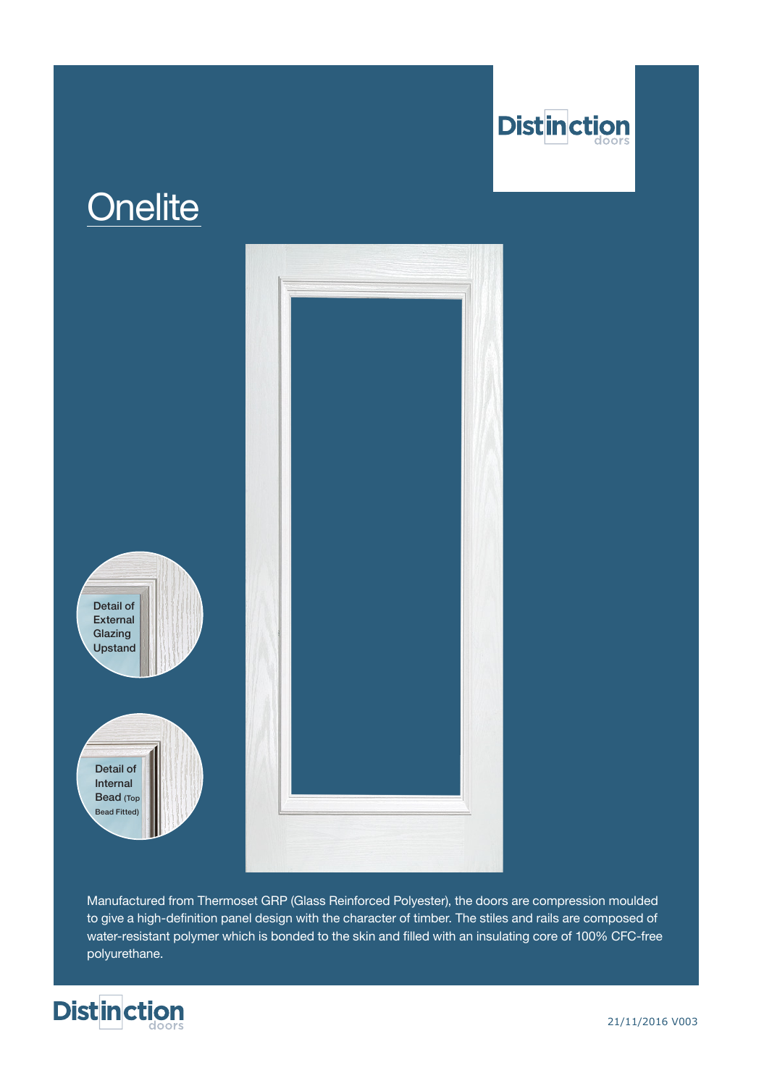

## **Onelite**



Manufactured from Thermoset GRP (Glass Reinforced Polyester), the doors are compression moulded to give a high-definition panel design with the character of timber. The stiles and rails are composed of water-resistant polymer which is bonded to the skin and filled with an insulating core of 100% CFC-free polyurethane.